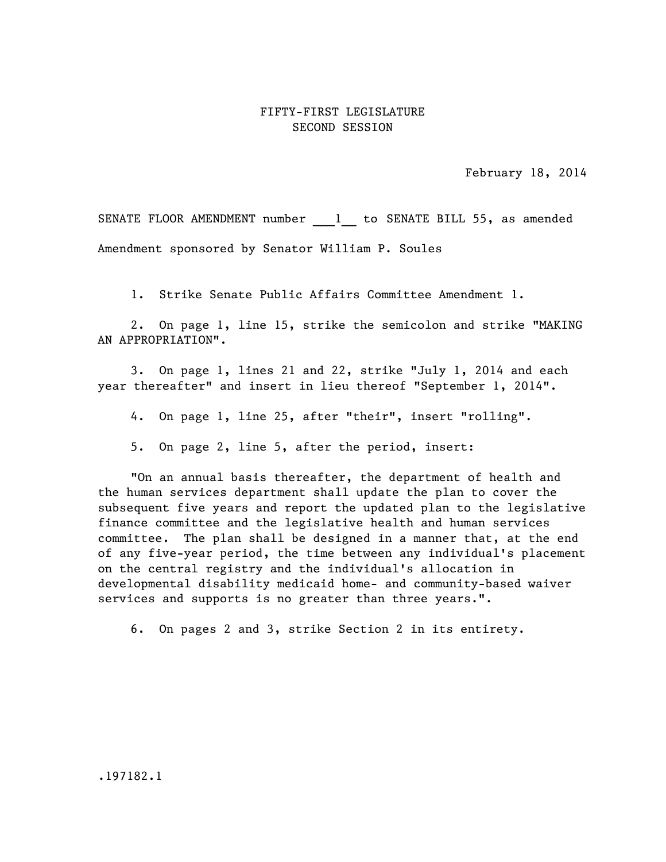## FIFTY-FIRST LEGISLATURE SECOND SESSION

February 18, 2014

SENATE FLOOR AMENDMENT number 1 to SENATE BILL 55, as amended Amendment sponsored by Senator William P. Soules

1. Strike Senate Public Affairs Committee Amendment 1.

2. On page 1, line 15, strike the semicolon and strike "MAKING AN APPROPRIATION".

3. On page 1, lines 21 and 22, strike "July 1, 2014 and each year thereafter" and insert in lieu thereof "September 1, 2014".

4. On page 1, line 25, after "their", insert "rolling".

5. On page 2, line 5, after the period, insert:

"On an annual basis thereafter, the department of health and the human services department shall update the plan to cover the subsequent five years and report the updated plan to the legislative finance committee and the legislative health and human services committee. The plan shall be designed in a manner that, at the end of any five-year period, the time between any individual's placement on the central registry and the individual's allocation in developmental disability medicaid home- and community-based waiver services and supports is no greater than three years.".

6. On pages 2 and 3, strike Section 2 in its entirety.

.197182.1